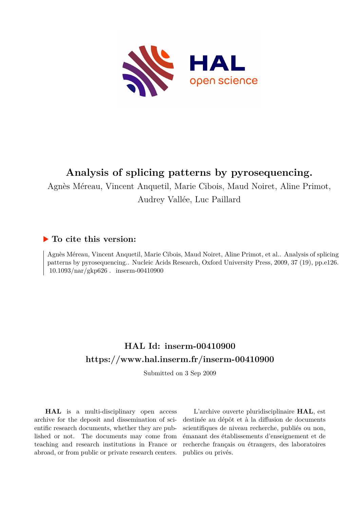

## **Analysis of splicing patterns by pyrosequencing.**

Agnès Méreau, Vincent Anquetil, Marie Cibois, Maud Noiret, Aline Primot,

Audrey Vallée, Luc Paillard

### **To cite this version:**

Agnès Méreau, Vincent Anquetil, Marie Cibois, Maud Noiret, Aline Primot, et al.. Analysis of splicing patterns by pyrosequencing.. Nucleic Acids Research, Oxford University Press, 2009, 37 (19), pp.e126.  $10.1093/nar/gkp626$ . inserm-00410900

### **HAL Id: inserm-00410900 <https://www.hal.inserm.fr/inserm-00410900>**

Submitted on 3 Sep 2009

**HAL** is a multi-disciplinary open access archive for the deposit and dissemination of scientific research documents, whether they are published or not. The documents may come from teaching and research institutions in France or abroad, or from public or private research centers.

L'archive ouverte pluridisciplinaire **HAL**, est destinée au dépôt et à la diffusion de documents scientifiques de niveau recherche, publiés ou non, émanant des établissements d'enseignement et de recherche français ou étrangers, des laboratoires publics ou privés.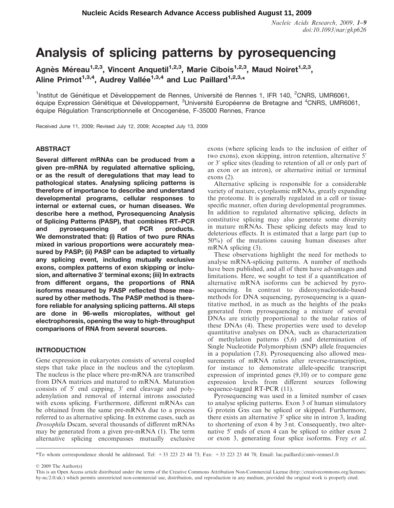Nucleic Acids Research, 2009, 1–9 doi:10.1093/nar/gkp626

# Analysis of splicing patterns by pyrosequencing

Agnès Méreau<sup>1,2,3</sup>, Vincent Anquetil<sup>1,2,3</sup>, Marie Cibois<sup>1,2,3</sup>, Maud Noiret<sup>1,2,3</sup>, Aline Primot<sup>1,3,4</sup>, Audrey Vallée<sup>1,3,4</sup> and Luc Paillard<sup>1,2,3,\*</sup>

<sup>1</sup>Institut de Génétique et Développement de Rennes, Université de Rennes 1, IFR 140, <sup>2</sup>CNRS, UMR6061, équipe Expression Génétique et Développement, <sup>3</sup>Université Européenne de Bretagne and <sup>4</sup>CNRS, UMR6061, équipe Régulation Transcriptionnelle et Oncogenèse, F-35000 Rennes, France

Received June 11, 2009; Revised July 12, 2009; Accepted July 13, 2009

#### ABSTRACT

Several different mRNAs can be produced from a given pre-mRNA by regulated alternative splicing, or as the result of deregulations that may lead to pathological states. Analysing splicing patterns is therefore of importance to describe and understand developmental programs, cellular responses to internal or external cues, or human diseases. We describe here a method, Pyrosequencing Analysis of Splicing Patterns (PASP), that combines RT–PCR and pyrosequencing of PCR products. We demonstrated that: (i) Ratios of two pure RNAs mixed in various proportions were accurately measured by PASP; (ii) PASP can be adapted to virtually any splicing event, including mutually exclusive exons, complex patterns of exon skipping or inclusion, and alternative 3' terminal exons; (iii) In extracts from different organs, the proportions of RNA isoforms measured by PASP reflected those measured by other methods. The PASP method is therefore reliable for analysing splicing patterns. All steps are done in 96-wells microplates, without gel electrophoresis, opening the way to high-throughput comparisons of RNA from several sources.

#### **INTRODUCTION**

Gene expression in eukaryotes consists of several coupled steps that take place in the nucleus and the cytoplasm. The nucleus is the place where pre-mRNA are transcribed from DNA matrices and matured to mRNA. Maturation consists of  $5'$  end capping,  $3'$  end cleavage and polyadenylation and removal of internal introns associated with exons splicing. Furthermore, different mRNAs can be obtained from the same pre-mRNA due to a process referred to as alternative splicing. In extreme cases, such as Drosophila Dscam, several thousands of different mRNAs may be generated from a given pre-mRNA (1). The term alternative splicing encompasses mutually exclusive

exons (where splicing leads to the inclusion of either of two exons), exon skipping, intron retention, alternative 5' or 3' splice sites (leading to retention of all or only part of an exon or an intron), or alternative initial or terminal exons (2).

Alternative splicing is responsible for a considerable variety of mature, cytoplasmic mRNAs, greatly expanding the proteome. It is generally regulated in a cell or tissuespecific manner, often during developmental programmes. In addition to regulated alternative splicing, defects in constitutive splicing may also generate some diversity in mature mRNAs. These splicing defects may lead to deleterious effects. It is estimated that a large part (up to 50%) of the mutations causing human diseases alter mRNA splicing  $(3)$ .

These observations highlight the need for methods to analyse mRNA-splicing patterns. A number of methods have been published, and all of them have advantages and limitations. Here, we sought to test if a quantification of alternative mRNA isoforms can be achieved by pyrosequencing. In contrast to dideoxynucleotide-based methods for DNA sequencing, pyrosequencing is a quantitative method, in as much as the heights of the peaks generated from pyrosequencing a mixture of several DNAs are strictly proportional to the molar ratios of these DNAs (4). These properties were used to develop quantitative analyses on DNA, such as characterization of methylation patterns (5,6) and determination of Single Nucleotide Polymorphism (SNP) allele frequencies in a population (7,8). Pyrosequencing also allowed measurements of mRNA ratios after reverse-transcription, for instance to demonstrate allele-specific transcript expression of imprinted genes (9,10) or to compare gene expression levels from different sources following sequence-tagged RT-PCR (11).

Pyrosequencing was used in a limited number of cases to analyse splicing patterns. Exon 3 of human stimulatory G protein Gas can be spliced or skipped. Furthermore, there exists an alternative  $3'$  splice site in intron 3, leading to shortening of exon 4 by 3 nt. Consequently, two alternative  $5'$  ends of exon 4 can be spliced to either exon 2 or exon 3, generating four splice isoforms. Frey et al.

\*To whom correspondence should be addressed. Tel: +33 223 23 44 73; Fax: +33 223 23 44 78; Email: luc.paillard@univ-rennes1.fr

© 2009 The Author(s)

This is an Open Access article distributed under the terms of the Creative Commons Attribution Non-Commercial License (http://creativecommons.org/licenses/  $b$ y-nc/2.0/uk/) which permits unrestricted non-commercial use, distribution, and reproduction in any medium, provided the original work is properly cited.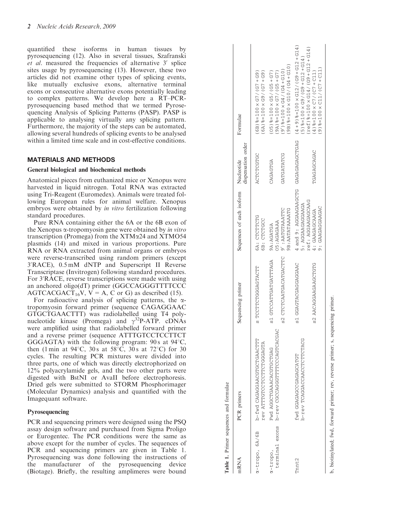quantified these isoforms in human tissues by pyrosequencing (12). Also in several tissues, Szafranski et al. measured the frequencies of alternative 3' splice sites usage by pyrosequencing (13). However, these two articles did not examine other types of splicing events, like mutually exclusive exons, alternative terminal exons or consecutive alternative exons potentially leading to complex patterns. We develop here a RT–PCRpyrosequencing based method that we termed Pyrosequencing Analysis of Splicing Patterns (PASP). PASP is applicable to analysing virtually any splicing pattern. Furthermore, the majority of the steps can be automated, allowing several hundreds of splicing events to be analysed within a limited time scale and in cost-effective conditions.

#### MATERIALS AND METHODS

#### General biological and biochemical methods

Anatomical pieces from euthanized mice or Xenopus were harvested in liquid nitrogen. Total RNA was extracted using Tri-Reagent (Euromedex). Animals were treated following European rules for animal welfare. Xenopus embryos were obtained by in vitro fertilization following standard procedures.

Pure RNA containing either the 6A or the 6B exon of the Xenopus  $\alpha$ -tropomyosin gene were obtained by in vitro transcription (Promega) from the XTM a24 and XTMO54 plasmids (14) and mixed in various proportions. Pure RNA or RNA extracted from animal organs or embryos were reverse-transcribed using random primers (except 3'RACE), 0.5 mM dNTP and Superscript II Reverse Transcriptase (Invitrogen) following standard procedures. For 3'RACE, reverse transcriptions were made with using an anchored oligo(dT) primer (GGCCAGGGTTTTCCC AGTCACGACT<sub>16</sub>V,  $V = A$ , C or G) as described (15).

For radioactive analysis of splicing patterns, the  $\alpha$ tropomyosin forward primer (sequence CAGAGGAAC GTGCTGAACTTT) was radiolabelled using T4 polynucleotide kinase (Promega) and  $\gamma^{32}P-ATP$ . cDNAs were amplified using that radiolabelled forward primer and a reverse primer (sequence ATTTGTCCTCCTTCT GGGAGTA) with the following program:  $90 s$  at  $94^{\circ}$ C, then (1 min at 94 $^{\circ}$ C, 30s at 58 $^{\circ}$ C, 30s at 72 $^{\circ}$ C) for 30 cycles. The resulting PCR mixtures were divided into three parts, one of which was directly electrophorized on 12% polyacrylamide gels, and the two other parts were digested with BstNI or AvaII before electrophoresis. Dried gels were submitted to STORM Phosphorimager (Molecular Dynamics) analysis and quantified with the Imagequant software.

#### Pyrosequencing

PCR and sequencing primers were designed using the PSQ assay design software and purchased from Sigma Proligo or Eurogentec. The PCR conditions were the same as above except for the number of cycles. The sequences of PCR and sequencing primers are given in Table 1. Pyrosequencing was done following the instructions of the manufacturer of the pyrosequencing device (Biotage). Briefly, the resulting amplimeres were bound

| mRNA                          | PCR primers                                                | Sequencing primer     | Sequences of each isoform Nucleotide                                           | dispensation order | Formulae                                                                                                    |
|-------------------------------|------------------------------------------------------------|-----------------------|--------------------------------------------------------------------------------|--------------------|-------------------------------------------------------------------------------------------------------------|
| $\alpha$ -tropo, 6A/6B        | D-fwd CAGAGGEGCTGAACTET<br><b>KACCOOPOLOLOLOLOLOLANIA</b>  | S TOCTOGGGGUENT       | 6A: CTCTTCTG<br>6B: CTCTGCC                                                    | ACTOPOTOG          | $(6A)$ 8=100 $\times$ G9/ (G7 + G9)<br>$(6B)$ $8 = 100 \times G7 / G7 + G9$                                 |
| terminal exons<br>$x$ -tropo, | D-rev CGCCAGETERIOGOCOCO < P-r<br>URULUULUURURREULUUUR DAL | S1 GTCCATGATGATHROA   | O5:AGAGAAA<br>9A:AGATGA                                                        | CAGAGTGA           | $(05)$ 8 = 100 $\times$ G5/ (G5 + G7)<br>$9A$ ) $8 = 100 \times G7 / (GS + G7)$                             |
|                               |                                                            | S2 CTCAATGACATGACTE   | <b>9B: AATATAAAATG</b><br>9' : AATGTAAATTC                                     | GATGATATC          | $(010 + 50)(210)$ / $(015)(10)$<br>$(610 + 50)(10)$ / 50 × 00 = \$                                          |
| Pnnt2                         | D-TORCOROOROOF PP-TOR-<br>FWD GGAGGCCGAGGAGU TAT           | URRUURUURUURHURUU TA  | AGUNUGUGUGUGUGU UNUUGUGUGUGUG : 6 PIR 7<br>ref: AGGAAGAGCAAG<br>5: AGGAAGGAAGA |                    | $(513 + 215) + 65)$ / $(215)$ / $(215)$ / $(6 + 5)$<br>$5$ ) $8 = 100 \times G$ ) $\times G$ 12 + 212 + 314 |
|                               |                                                            | S2 AACAAGAACACACKA S2 | 9 : GAAGAGAAD .<br>4: GAAGAGCAAGA                                              | TGAGAGCAGAC        | $9)$ 8=100 $\times$ C11/(C7 + C11)<br>$(4)$ $8 = 100 \times C7 / (C7 + C11)$                                |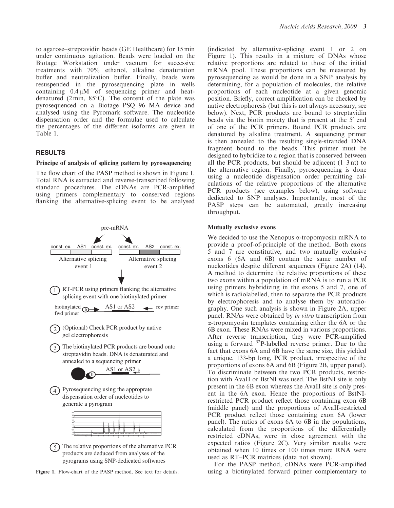to agarose–streptavidin beads (GE Healthcare) for 15 min under continuous agitation. Beads were loaded on the Biotage Workstation under vacuum for successive treatments with 70% ethanol, alkaline denaturation buffer and neutralization buffer. Finally, beads were resuspended in the pyrosequencing plate in wells containing  $0.4 \mu M$  of sequencing primer and heatdenatured (2 min,  $85^{\circ}$ C). The content of the plate was pyrosequenced on a Biotage PSQ 96 MA device and analysed using the Pyromark software. The nucleotide dispensation order and the formulae used to calculate the percentages of the different isoforms are given in Table 1.

#### RESULTS

#### Principe of analysis of splicing pattern by pyrosequencing

The flow chart of the PASP method is shown in Figure 1. Total RNA is extracted and reverse-transcribed following standard procedures. The cDNAs are PCR-amplified using primers complementary to conserved regions flanking the alternative-splicing event to be analysed



pyrograms using SNP-dedicated softwares

Figure 1. Flow-chart of the PASP method. See text for details.

(indicated by alternative-splicing event 1 or 2 on Figure 1). This results in a mixture of DNAs whose relative proportions are related to those of the initial mRNA pool. These proportions can be measured by pyrosequencing as would be done in a SNP analysis by determining, for a population of molecules, the relative proportions of each nucleotide at a given genomic position. Briefly, correct amplification can be checked by native electrophoresis (but this is not always necessary, see below). Next, PCR products are bound to streptavidin beads via the biotin moiety that is present at the 5<sup>'</sup> end of one of the PCR primers. Bound PCR products are denatured by alkaline treatment. A sequencing primer is then annealed to the resulting single-stranded DNA fragment bound to the beads. This primer must be designed to hybridize to a region that is conserved between all the PCR products, but should be adjacent  $(1-3 \text{ nt})$  to the alternative region. Finally, pyrosequencing is done using a nucleotide dispensation order permitting calculations of the relative proportions of the alternative PCR products (see examples below), using software dedicated to SNP analyses. Importantly, most of the PASP steps can be automated, greatly increasing throughput.

#### Mutually exclusive exons

We decided to use the Xenopus  $\alpha$ -tropomyosin mRNA to provide a proof-of-principle of the method. Both exons 5 and 7 are constitutive, and two mutually exclusive exons 6 (6A and 6B) contain the same number of nucleotides despite different sequences (Figure 2A) (14). A method to determine the relative proportions of these two exons within a population of mRNA is to run a PCR using primers hybridizing in the exons 5 and 7, one of which is radiolabelled, then to separate the PCR products by electrophoresis and to analyse them by autoradiography. One such analysis is shown in Figure 2A, upper panel. RNAs were obtained by in vitro transcription from a-tropomyosin templates containing either the 6A or the 6B exon. These RNAs were mixed in various proportions. After reverse transcription, they were PCR-amplified using a forward  $^{32}P$ -labelled reverse primer. Due to the fact that exons 6A and 6B have the same size, this yielded a unique, 133-bp long, PCR product, irrespective of the proportions of exons 6A and 6B (Figure 2B, upper panel). To discriminate between the two PCR products, restriction with AvaII or BstNI was used. The BstNI site is only present in the 6B exon whereas the AvaII site is only present in the 6A exon. Hence the proportions of BstNIrestricted PCR product reflect those containing exon 6B (middle panel) and the proportions of AvaII-restricted PCR product reflect those containing exon 6A (lower panel). The ratios of exons 6A to 6B in the populations, calculated from the proportions of the differentially restricted cDNAs, were in close agreement with the expected ratios (Figure 2C). Very similar results were obtained when 10 times or 100 times more RNA were used as RT–PCR matrices (data not shown).

For the PASP method, cDNAs were PCR-amplified using a biotinylated forward primer complementary to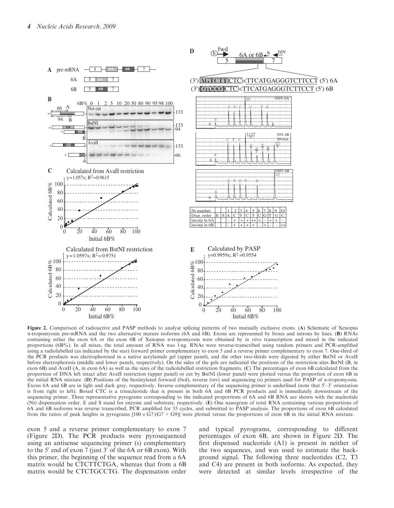

Figure 2. Comparison of radioactive and PASP methods to analyse splicing patterns of two mutually exclusive exons. (A) Schematic of Xenopus a-tropomyosin pre-mRNA and the two alternative mature isoforms (6A and 6B). Exons are represented by boxes and introns by lines. (B) RNAs containing either the exon 6A or the exon 6B of Xenopus  $\alpha$ -tropomyosin were obtained by *in vitro* transcription and mixed in the indicated proportions (6B%). In all mixes, the total amount of RNA was 1 ng. RNAs were reverse-transcribed using random primers and PCR-amplified using a radiolabelled (as indicated by the star) forward primer complementary to exon 5 and a reverse primer complementary to exon 7. One-third of the PCR products was electrophoresed in a native acrylamide gel (upper panel), and the other two-thirds were digested by either BstNI or AvaII before electrophoresis (middle and lower panels, respectively). On the sides of the gels are indicated the positions of the restriction sites BstNI (B, in exon 6B) and AvaII (A, in exon 6A) as well as the sizes of the radiolabelled restriction fragments. (C) The percentages of exon 6B calculated from the proportion of DNA left intact after AvaII restriction (upper panel) or cut by BstNI (lower panel) were plotted versus the proportion of exon 6B in the initial RNA mixture. (D) Positions of the biotinylated forward (fwd), reverse (rev) and sequencing (s) primers used for PASP of a-tropomyosin. Exons 6A and 6B are in light and dark grey, respectively. Inverse complementary of the sequencing primer is underlined (note that  $5'-3'$  orientation is from right to left). Boxed CTC is a trinucleotide that is present in both 6A and 6B PCR products and is immediately downstream of the sequencing primer. Three representative pyrograms corresponding to the indicated proportions of 6A and 6B RNA are shown with the nucleotide (Nt) dispensation order. E and S stand for enzyme and substrate, respectively. (E) One nanogram of total RNA containing various proportions of 6A and 6B isoforms was reverse transcribed, PCR amplified for 35 cycles, and submitted to PASP analysis. The proportions of exon 6B calculated from the ratios of peak heights in pyrograms  $[100 \times G7/(G7 + G9)]$  were plotted versus the proportions of exon 6B in the initial RNA mixture.

exon 5 and a reverse primer complementary to exon 7 (Figure 2D). The PCR products were pyrosequenced using an antisense sequencing primer (s) complementary to the 5<sup> $\prime$ </sup> end of exon 7 (just 3 $\prime$  of the 6A or 6B exon). With this primer, the beginning of the sequence read from a 6A matrix would be CTCTTCTGA, whereas that from a 6B matrix would be CTCTGCCTG. The dispensation order

and typical pyrograms, corresponding to different percentages of exon 6B, are shown in Figure 2D. The first dispensed nucleotide (A1) is present in neither of the two sequences, and was used to estimate the background signal. The following three nucleotides (C2, T3 and C4) are present in both isoforms. As expected, they were detected at similar levels irrespective of the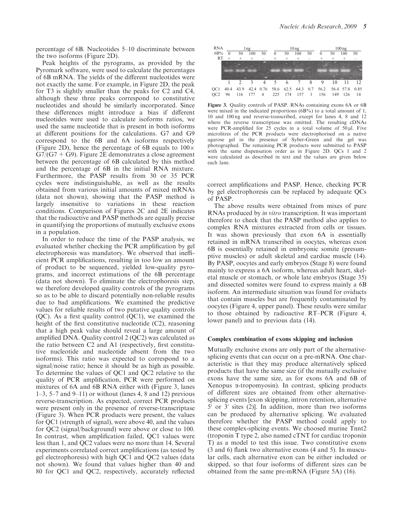percentage of 6B. Nucleotides 5–10 discriminate between the two isoforms (Figure 2D).

Peak heights of the pyrograms, as provided by the Pyromark software, were used to calculate the percentages of 6B mRNA. The yields of the different nucleotides were not exactly the same. For example, in Figure 2D, the peak for T3 is slightly smaller than the peaks for C2 and C4, although these three peaks correspond to constitutive nucleotides and should be similarly incorporated. Since these differences might introduce a bias if different nucleotides were used to calculate isoforms ratios, we used the same nucleotide that is present in both isoforms at different positions for the calculations. G7 and G9 correspond to the 6B and 6A isoforms respectively (Figure 2D), hence the percentage of 6B equals to  $100 \times$  $G7/(G7 + G9)$ . Figure 2E demonstrates a close agreement between the percentage of 6B calculated by this method and the percentage of 6B in the initial RNA mixture. Furthermore, the PASP results from 30 or 35 PCR cycles were indistinguishable, as well as the results obtained from various initial amounts of mixed mRNAs (data not shown), showing that the PASP method is largely insensitive to variations in these reaction conditions. Comparison of Figures 2C and 2E indicates that the radioactive and PASP methods are equally precise in quantifying the proportions of mutually exclusive exons in a population.

In order to reduce the time of the PASP analysis, we evaluated whether checking the PCR amplification by gel electrophoresis was mandatory. We observed that inefficient PCR amplifications, resulting in too low an amount of product to be sequenced, yielded low-quality pyrograms, and incorrect estimations of the 6B percentage (data not shown). To eliminate the electrophoresis step, we therefore developed quality controls of the pyrograms so as to be able to discard potentially non-reliable results due to bad amplifications. We examined the predictive values for reliable results of two putative quality controls (QC). As a first quality control (QC1), we examined the height of the first constitutive nucleotide (C2), reasoning that a high peak value should reveal a large amount of amplified DNA. Quality control 2 (QC2) was calculated as the ratio between C2 and A1 (respectively, first constitutive nucleotide and nucleotide absent from the two isoforms). This ratio was expected to correspond to a signal/noise ratio; hence it should be as high as possible. To determine the values of QC1 and QC2 relative to the quality of PCR amplification, PCR were performed on mixtures of 6A and 6B RNA either with (Figure 3, lanes  $1-3$ , 5–7 and  $9-11$ ) or without (lanes 4, 8 and 12) previous reverse-transcription. As expected, correct PCR products were present only in the presence of reverse-transcriptase (Figure 3). When PCR products were present, the values for QC1 (strength of signal), were above 40, and the values for QC2 (signal/background) were above or close to 100. In contrast, when amplification failed, QC1 values were less than 1, and QC2 values were no more than 14. Several experiments correlated correct amplifications (as tested by gel electrophoresis) with high QC1 and QC2 values (data not shown). We found that values higher than 40 and 80 for QC1 and QC2, respectively, accurately reflected



Figure 3. Quality controls of PASP. RNAs containing exons 6A or 6B were mixed in the indicated proportions (6B%) to a total amount of 1, 10 and 100 ng and reverse-transcribed, except for lanes 4, 8 and 12 where the reverse transcriptase was omitted. The resulting cDNAs were PCR-amplified for  $25$  cycles in a total volume of  $50 \mu$ l. Five microlitres of the PCR products were electrophorised on a native agarose gel in the presence of Syber-Green and the gel was photographed. The remaining PCR products were submitted to PASP with the same dispensation order as in Figure 2D. QCs 1 and 2 were calculated as described in text and the values are given below each lane.

correct amplifications and PASP. Hence, checking PCR by gel electrophoresis can be replaced by adequate QCs of PASP.

The above results were obtained from mixes of pure RNAs produced by in vitro transcription. It was important therefore to check that the PASP method also applies to complex RNA mixtures extracted from cells or tissues. It was shown previously that exon 6A is essentially retained in mRNA transcribed in oocytes, whereas exon 6B is essentially retained in embryonic somite (presumptive muscles) or adult skeletal and cardiac muscle (14). By PASP, oocytes and early embryos (Stage 8) were found mainly to express a 6A isoform, whereas adult heart, skeletal muscle or stomach, or whole late embryos (Stage 35) and dissected somites were found to express mainly a 6B isoform. An intermediate situation was found for oviducts that contain muscles but are frequently contaminated by oocytes (Figure 4, upper panel). These results were similar to those obtained by radioactive RT–PCR (Figure 4, lower panel) and to previous data (14).

#### Complex combination of exons skipping and inclusion

Mutually exclusive exons are only part of the alternativesplicing events that can occur on a pre-mRNA. One characteristic is that they may produce alternatively spliced products that have the same size (if the mutually exclusive exons have the same size, as for exons 6A and 6B of Xenopus  $\alpha$ -tropomyosin). In contrast, splicing products of different sizes are obtained from other alternativesplicing events [exon skipping, intron retention, alternative  $5'$  or  $3'$  sites (2)]. In addition, more than two isoforms can be produced by alternative splicing. We evaluated therefore whether the PASP method could apply to these complex-splicing events. We choosed murine Tnnt2 (troponin T type 2, also named cTNT for cardiac troponin T) as a model to test this issue. Two constitutive exons (3 and 6) flank two alternative exons (4 and 5). In muscular cells, each alternative exon can be either included or skipped, so that four isoforms of different sizes can be obtained from the same pre-mRNA (Figure 5A) (16).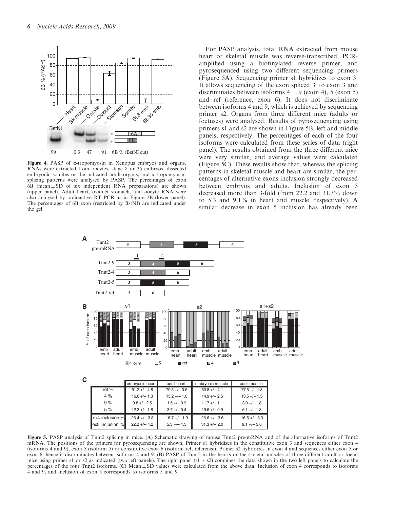

Figure 4. PASP of a-tropomyosin in Xenopus embryos and organs. RNAs were extracted from oocytes, stage 8 or 35 embryos, dissected embryonic somites or the indicated adult organs, and  $\alpha$ -tropomyosinsplicing patterns were analysed by PASP. The percentages of exon  $6B$  (mean  $\pm$  SD of six independent RNA preparations) are shown (upper panel). Adult heart, oviduct stomach, and oocyte RNA were also analysed by radioactive RT–PCR as in Figure 2B (lower panel). The percentages of 6B exon (restricted by BstNI) are indicated under the gel.

For PASP analysis, total RNA extracted from mouse heart or skeletal muscle was reverse-transcribed, PCRamplified using a biotinylated reverse primer, and pyrosequenced using two different sequencing primers (Figure 5A). Sequencing primer s1 hybridizes to exon 3. It allows sequencing of the exon spliced  $3'$  to exon 3 and discriminates between isoforms  $4 + 9$  (exon 4), 5 (exon 5) and ref (reference, exon 6). It does not discriminate between isoforms 4 and 9, which is achieved by sequencing primer s2. Organs from three different mice (adults or foetuses) were analysed. Results of pyrosequencing using primers s1 and s2 are shown in Figure 5B, left and middle panels, respectively. The percentages of each of the four isoforms were calculated from these series of data (right panel). The results obtained from the three different mice were very similar, and average values were calculated (Figure 5C). These results show that, whereas the splicing patterns in skeletal muscle and heart are similar, the percentages of alternative exons inclusion strongly decreased between embryos and adults. Inclusion of exon 5 decreased more than 3-fold (from 22.2 and 31.3% down to 5.3 and 9.1% in heart and muscle, respectively). A similar decrease in exon 5 inclusion has already been



Figure 5. PASP analysis of Tnnt2 splicing in mice. (A) Schematic drawing of mouse Tnnt2 pre-mRNA and of the alternative isoforms of Tnnt2 mRNA. The positions of the primers for pyrosequencing are shown. Primer s1 hybridizes in the constitutive exon 3 and sequences either exon 4 (isoforms 4 and 9), exon 5 (isoform 5) or constitutive exon 6 (isoform ref, reference). Primer s2 hybridizes in exon 4 and sequences either exon 5 or exon 6, hence it discriminates between isoforms 4 and 9. (B) PASP of Tnnt2 in the hearts or the skeletal muscles of three different adult or foetal mice using primer s1 or s2 as indicated (two left panels). The right panel  $(s1 + s2)$  combines the data shown in the two left panels to calculate the percentages of the four Tnnt2 isoforms. (C) Mean ± SD values were calculated from the above data. Inclusion of exon 4 corresponds to isoforms 4 and 9, and inclusion of exon 5 corresponds to isoforms 5 and 9.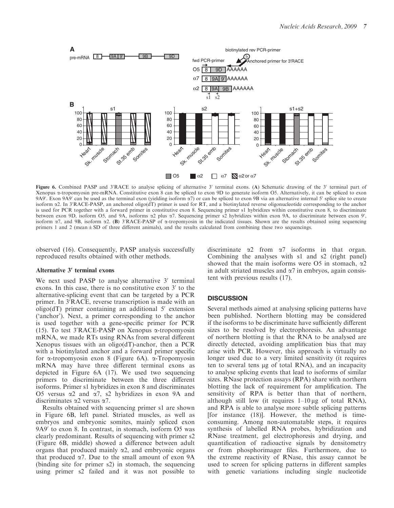

Figure 6. Combined PASP and 3'RACE to analyse splicing of alternative 3' terminal exons. (A) Schematic drawing of the 3' terminal part of Xenopus a-tropomyosin pre-mRNA. Constitutive exon 8 can be spliced to exon 9D to generate isoform O5. Alternatively, it can be spliced to exon 9A9'. Exon 9A9' can be used as the terminal exon (yielding isoform  $\alpha$ 7) or can be spliced to exon 9B via an alternative internal 5' splice site to create isoform  $\alpha$ 2. In 3'RACE-PASP, an anchored oligo(dT) primer is used for RT, and a biotinylated reverse oligonucleotide corresponding to the anchor is used for PCR together with a forward primer in constitutive exon 8. Sequencing primer s1 hybridizes within constitutive exon 8, to discriminate between exon 9D, isoform O5, and 9A, isoforms  $\alpha$ 2 plus  $\alpha$ 7. Sequencing primer s2 hybridizes within exon 9A, to discriminate between exon 9', isoform  $\alpha$ 7, and 9B, isoform  $\alpha$ 2. (B) 3'RACE-PASP of  $\alpha$ -tropomyosin in the indicated tissues. Shown are the results obtained using sequencing primers 1 and 2 (mean  $\pm$  SD of three different animals), and the results calculated from combining these two sequencings.

observed (16). Consequently, PASP analysis successfully reproduced results obtained with other methods.

#### Alternative 3' terminal exons

We next used PASP to analyse alternative  $3'$  terminal exons. In this case, there is no constitutive exon  $3'$  to the alternative-splicing event that can be targeted by a PCR primer. In 3<sup>'</sup>RACE, reverse transcription is made with an oligo( $dT$ ) primer containing an additional 5' extension ('anchor'). Next, a primer corresponding to the anchor is used together with a gene-specific primer for PCR (15). To test  $3'RACE-PASP$  on Xenopus  $\alpha$ -tropomyosin mRNA, we made RTs using RNAs from several different Xenopus tissues with an oligo(dT)-anchor, then a PCR with a biotinylated anchor and a forward primer specific for  $\alpha$ -tropomyosin exon 8 (Figure 6A).  $\alpha$ -Tropomyosin mRNA may have three different terminal exons as depicted in Figure 6A (17). We used two sequencing primers to discriminate between the three different isoforms. Primer s1 hybridizes in exon 8 and discriminates O5 versus  $\alpha$ 2 and  $\alpha$ 7, s2 hybridizes in exon 9A and discriminates  $\alpha$ 2 versus  $\alpha$ 7.

Results obtained with sequencing primer s1 are shown in Figure 6B, left panel. Striated muscles, as well as embryos and embryonic somites, mainly spliced exon  $9A9'$  to exon 8. In contrast, in stomach, isoform O5 was clearly predominant. Results of sequencing with primer s2 (Figure 6B, middle) showed a difference between adult organs that produced mainly  $\alpha$ 2, and embryonic organs that produced  $\alpha$ 7. Due to the small amount of exon 9A (binding site for primer s2) in stomach, the sequencing using primer s2 failed and it was not possible to

discriminate  $\alpha$ 2 from  $\alpha$ 7 isoforms in that organ. Combining the analyses with s1 and s2 (right panel) showed that the main isoforms were O5 in stomach,  $\alpha$ 2 in adult striated muscles and  $\alpha$ 7 in embryos, again consistent with previous results (17).

#### **DISCUSSION**

Several methods aimed at analysing splicing patterns have been published. Northern blotting may be considered if the isoforms to be discriminate have sufficiently different sizes to be resolved by electrophoresis. An advantage of northern blotting is that the RNA to be analysed are directly detected, avoiding amplification bias that may arise with PCR. However, this approach is virtually no longer used due to a very limited sensitivity (it requires ten to several tens ug of total RNA), and an incapacity to analyse splicing events that lead to isoforms of similar sizes. RNase protection assays (RPA) share with northern blotting the lack of requirement for amplification. The sensitivity of RPA is better than that of northern, although still low (it requires  $1-10 \mu$ g of total RNA), and RPA is able to analyse more subtle splicing patterns [for instance (18)]. However, the method is timeconsuming. Among non-automatable steps, it requires synthesis of labelled RNA probes, hybridization and RNase treatment, gel electrophoresis and drying, and quantification of radioactive signals by densitometry or from phosphorimager files. Furthermore, due to the extreme reactivity of RNase, this assay cannot be used to screen for splicing patterns in different samples with genetic variations including single nucleotide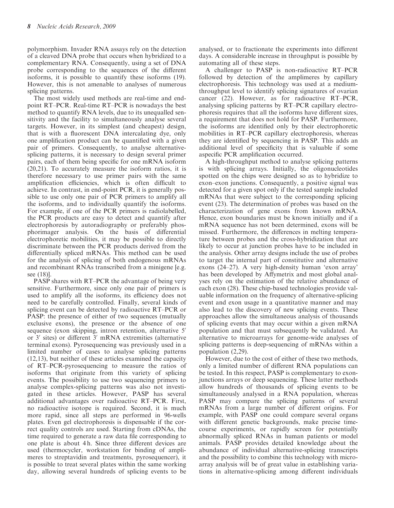polymorphism. Invader RNA assays rely on the detection of a cleaved DNA probe that occurs when hybridized to a complementary RNA. Consequently, using a set of DNA probe corresponding to the sequences of the different isoforms, it is possible to quantify these isoforms (19). However, this is not amenable to analyses of numerous splicing patterns.

The most widely used methods are real-time and endpoint RT–PCR. Real-time RT–PCR is nowadays the best method to quantify RNA levels, due to its unequalled sensitivity and the facility to simultaneously analyse several targets. However, in its simplest (and cheapest) design, that is with a fluorescent DNA intercalating dye, only one amplification product can be quantified with a given pair of primers. Consequently, to analyse alternativesplicing patterns, it is necessary to design several primer pairs, each of them being specific for one mRNA isoform (20,21). To accurately measure the isoform ratios, it is therefore necessary to use primer pairs with the same amplification efficiencies, which is often difficult to achieve. In contrast, in end-point PCR, it is generally possible to use only one pair of PCR primers to amplify all the isoforms, and to individually quantify the isoforms. For example, if one of the PCR primers is radiolabelled, the PCR products are easy to detect and quantify after electrophoresis by autoradiography or preferably phosphorimager analysis. On the basis of differential electrophoretic mobilities, it may be possible to directly discriminate between the PCR products derived from the differentially spliced mRNAs. This method can be used for the analysis of splicing of both endogenous mRNAs and recombinant RNAs transcribed from a minigene [e.g. see (18)].

PASP shares with RT–PCR the advantage of being very sensitive. Furthermore, since only one pair of primers is used to amplify all the isoforms, its efficiency does not need to be carefully controlled. Finally, several kinds of splicing event can be detected by radioactive RT–PCR or PASP: the presence of either of two sequences (mutually exclusive exons), the presence or the absence of one sequence (exon skipping, intron retention, alternative 5' or  $3'$  sites) or different  $3'$  mRNA extremities (alternative terminal exons). Pyrosequencing was previously used in a limited number of cases to analyse splicing patterns (12,13), but neither of these articles examined the capacity of RT–PCR-pyrosequencing to measure the ratios of isoforms that originate from this variety of splicing events. The possibility to use two sequencing primers to analyse complex-splicing patterns was also not investigated in these articles. However, PASP has several additional advantages over radioactive RT–PCR. First, no radioactive isotope is required. Second, it is much more rapid, since all steps are performed in 96-wells plates. Even gel electrophoresis is dispensable if the correct quality controls are used. Starting from cDNAs, the time required to generate a raw data file corresponding to one plate is about 4 h. Since three different devices are used (thermocycler, workstation for binding of amplimeres to streptavidin and treatments, pyrosequencer), it is possible to treat several plates within the same working day, allowing several hundreds of splicing events to be

analysed, or to fractionate the experiments into different days. A considerable increase in throughput is possible by automating all of these steps.

A challenger to PASP is non-radioactive RT–PCR followed by detection of the amplimeres by capillary electrophoresis. This technology was used at a mediumthroughput level to identify splicing signatures of ovarian cancer (22). However, as for radioactive RT–PCR, analysing splicing patterns by RT–PCR capillary electrophoresis requires that all the isoforms have different sizes, a requirement that does not hold for PASP. Furthermore, the isoforms are identified only by their electrophoretic mobilities in RT–PCR capillary electrophoresis, whereas they are identified by sequencing in PASP. This adds an additional level of specificity that is valuable if some aspecific PCR amplification occurred.

A high-throughput method to analyse splicing patterns is with splicing arrays. Initially, the oligonucleotides spotted on the chips were designed so as to hybridize to exon–exon junctions. Consequently, a positive signal was detected for a given spot only if the tested sample included mRNAs that were subject to the corresponding splicing event (23). The determination of probes was based on the characterization of gene exons from known mRNA. Hence, exon boundaries must be known initially and if a mRNA sequence has not been determined, exons will be missed. Furthermore, the differences in melting temperature between probes and the cross-hybridization that are likely to occur at junction probes have to be included in the analysis. Other array designs include the use of probes to target the internal part of constitutive and alternative exons (24–27). A very high-density human 'exon array' has been developed by Affymetrix and most global analyses rely on the estimation of the relative abundance of each exon (28). These chip-based technologies provide valuable information on the frequency of alternative-splicing event and exon usage in a quantitative manner and may also lead to the discovery of new splicing events. These approaches allow the simultaneous analysis of thousands of splicing events that may occur within a given mRNA population and that must subsequently be validated. An alternative to microarrays for genome-wide analyses of splicing patterns is deep-sequencing of mRNAs within a population (2,29).

However, due to the cost of either of these two methods, only a limited number of different RNA populations can be tested. In this respect, PASP is complementary to exonjunctions arrays or deep sequencing. These latter methods allow hundreds of thousands of splicing events to be simultaneously analysed in a RNA population, whereas PASP may compare the splicing patterns of several mRNAs from a large number of different origins. For example, with PASP one could compare several organs with different genetic backgrounds, make precise timecourse experiments, or rapidly screen for potentially abnormally spliced RNAs in human patients or model animals. PASP provides detailed knowledge about the abundance of individual alternative-splicing transcripts and the possibility to combine this technology with microarray analysis will be of great value in establishing variations in alternative-splicing among different individuals